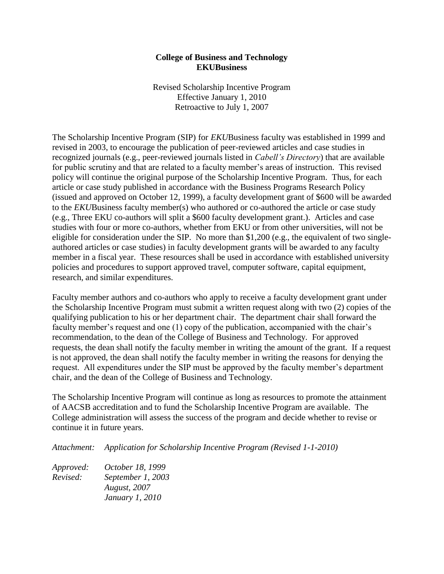## **College of Business and Technology EKUBusiness**

Revised Scholarship Incentive Program Effective January 1, 2010 Retroactive to July 1, 2007

 eligible for consideration under the SIP. No more than \$1,200 (e.g., the equivalent of two single-The Scholarship Incentive Program (SIP) for *EKU*Business faculty was established in 1999 and revised in 2003, to encourage the publication of peer-reviewed articles and case studies in recognized journals (e.g., peer-reviewed journals listed in *Cabell's Directory*) that are available for public scrutiny and that are related to a faculty member's areas of instruction. This revised policy will continue the original purpose of the Scholarship Incentive Program. Thus, for each article or case study published in accordance with the Business Programs Research Policy (issued and approved on October 12, 1999), a faculty development grant of \$600 will be awarded to the *EKU*Business faculty member(s) who authored or co-authored the article or case study (e.g., Three EKU co-authors will split a \$600 faculty development grant.). Articles and case studies with four or more co-authors, whether from EKU or from other universities, will not be authored articles or case studies) in faculty development grants will be awarded to any faculty member in a fiscal year. These resources shall be used in accordance with established university policies and procedures to support approved travel, computer software, capital equipment, research, and similar expenditures.

Faculty member authors and co-authors who apply to receive a faculty development grant under the Scholarship Incentive Program must submit a written request along with two (2) copies of the qualifying publication to his or her department chair. The department chair shall forward the faculty member's request and one (1) copy of the publication, accompanied with the chair's recommendation, to the dean of the College of Business and Technology. For approved requests, the dean shall notify the faculty member in writing the amount of the grant. If a request is not approved, the dean shall notify the faculty member in writing the reasons for denying the request. All expenditures under the SIP must be approved by the faculty member's department chair, and the dean of the College of Business and Technology.

 College administration will assess the success of the program and decide whether to revise or The Scholarship Incentive Program will continue as long as resources to promote the attainment of AACSB accreditation and to fund the Scholarship Incentive Program are available. The continue it in future years.

*Attachment: Application for Scholarship Incentive Program (Revised 1-1-2010)* 

*Approved: Revised: October 18, 1999 September 1, 2003 August, 2007 January 1, 2010*